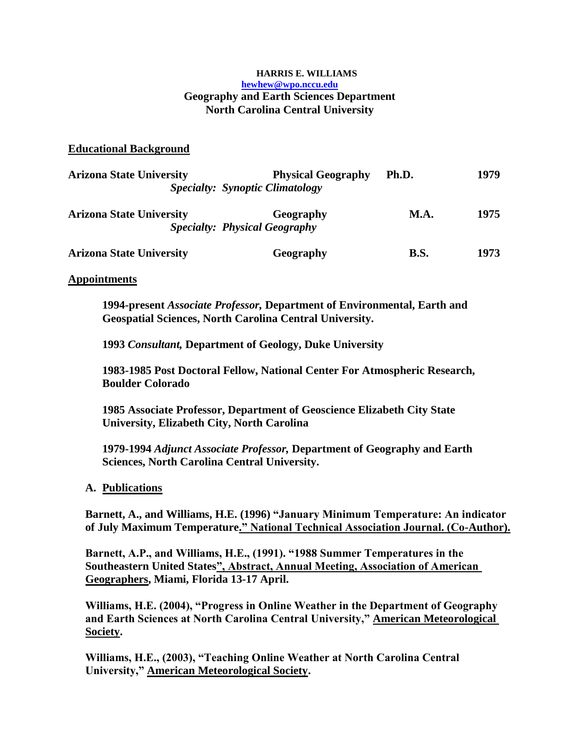#### **HARRIS E. WILLIAMS hewhew@wpo.nccu.edu Geography and Earth Sciences Department North Carolina Central University**

## **Educational Background**

| <b>Arizona State University</b> | <b>Physical Geography</b><br><b>Specialty: Synoptic Climatology</b> | Ph.D.       | 1979 |
|---------------------------------|---------------------------------------------------------------------|-------------|------|
| <b>Arizona State University</b> | Geography<br><b>Specialty: Physical Geography</b>                   | <b>M.A.</b> | 1975 |
| <b>Arizona State University</b> | Geography                                                           | <b>B.S.</b> | 1973 |

#### **Appointments**

**1994-present** *Associate Professor,* **Department of Environmental, Earth and Geospatial Sciences, North Carolina Central University.**

**1993** *Consultant,* **Department of Geology, Duke University**

**1983-1985 Post Doctoral Fellow, National Center For Atmospheric Research, Boulder Colorado**

**1985 Associate Professor, Department of Geoscience Elizabeth City State University, Elizabeth City, North Carolina**

**1979-1994** *Adjunct Associate Professor,* **Department of Geography and Earth Sciences, North Carolina Central University.**

## **A. Publications**

**Barnett, A., and Williams, H.E. (1996) "January Minimum Temperature: An indicator of July Maximum Temperature." National Technical Association Journal. (Co-Author).**

**Barnett, A.P., and Williams, H.E., (1991). "1988 Summer Temperatures in the Southeastern United States", Abstract, Annual Meeting, Association of American Geographers, Miami, Florida 13-17 April.** 

**Williams, H.E. (2004), "Progress in Online Weather in the Department of Geography and Earth Sciences at North Carolina Central University," American Meteorological Society.**

**Williams, H.E., (2003), "Teaching Online Weather at North Carolina Central University," American Meteorological Society.**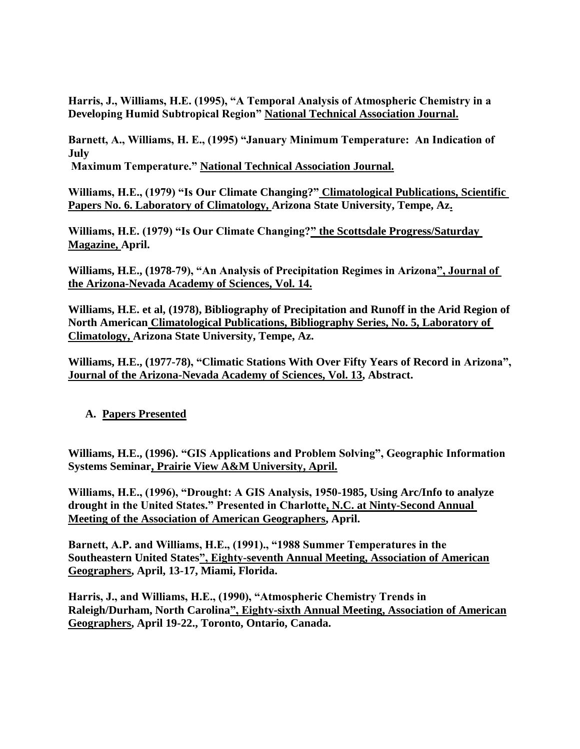**Harris, J., Williams, H.E. (1995), "A Temporal Analysis of Atmospheric Chemistry in a Developing Humid Subtropical Region" National Technical Association Journal.**

**Barnett, A., Williams, H. E., (1995) "January Minimum Temperature: An Indication of July**

**Maximum Temperature." National Technical Association Journal.**

**Williams, H.E., (1979) "Is Our Climate Changing?" Climatological Publications, Scientific Papers No. 6. Laboratory of Climatology, Arizona State University, Tempe, Az.**

**Williams, H.E. (1979) "Is Our Climate Changing?" the Scottsdale Progress/Saturday Magazine, April.**

**Williams, H.E., (1978-79), "An Analysis of Precipitation Regimes in Arizona", Journal of the Arizona-Nevada Academy of Sciences, Vol. 14.**

**Williams, H.E. et al, (1978), Bibliography of Precipitation and Runoff in the Arid Region of North American Climatological Publications, Bibliography Series, No. 5, Laboratory of Climatology, Arizona State University, Tempe, Az.**

**Williams, H.E., (1977-78), "Climatic Stations With Over Fifty Years of Record in Arizona", Journal of the Arizona-Nevada Academy of Sciences, Vol. 13, Abstract.**

# **A. Papers Presented**

**Williams, H.E., (1996). "GIS Applications and Problem Solving", Geographic Information Systems Seminar, Prairie View A&M University, April.**

**Williams, H.E., (1996), "Drought: A GIS Analysis, 1950-1985, Using Arc/Info to analyze drought in the United States." Presented in Charlotte, N.C. at Ninty-Second Annual Meeting of the Association of American Geographers, April.**

**Barnett, A.P. and Williams, H.E., (1991)., "1988 Summer Temperatures in the Southeastern United States", Eighty-seventh Annual Meeting, Association of American Geographers, April, 13-17, Miami, Florida.**

**Harris, J., and Williams, H.E., (1990), "Atmospheric Chemistry Trends in Raleigh/Durham, North Carolina", Eighty-sixth Annual Meeting, Association of American Geographers, April 19-22., Toronto, Ontario, Canada.**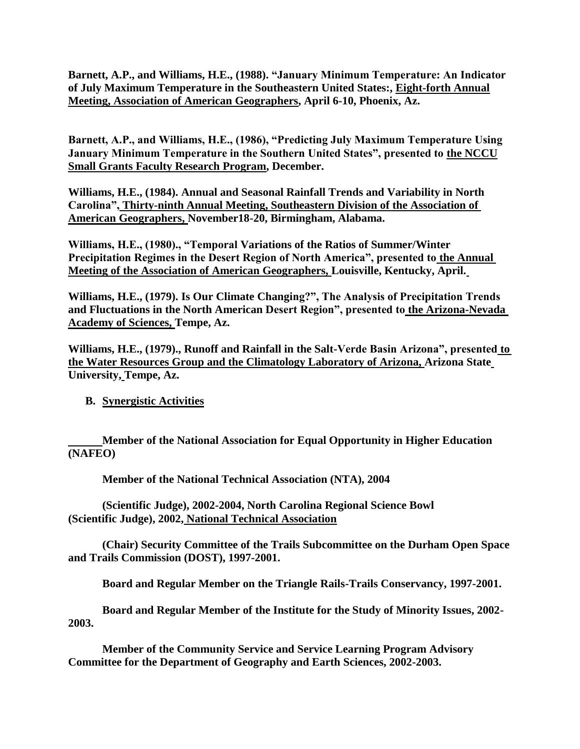**Barnett, A.P., and Williams, H.E., (1988). "January Minimum Temperature: An Indicator of July Maximum Temperature in the Southeastern United States:, Eight-forth Annual Meeting, Association of American Geographers, April 6-10, Phoenix, Az.**

**Barnett, A.P., and Williams, H.E., (1986), "Predicting July Maximum Temperature Using January Minimum Temperature in the Southern United States", presented to the NCCU Small Grants Faculty Research Program, December.**

**Williams, H.E., (1984). Annual and Seasonal Rainfall Trends and Variability in North Carolina", Thirty-ninth Annual Meeting, Southeastern Division of the Association of American Geographers, November18-20, Birmingham, Alabama.**

**Williams, H.E., (1980)., "Temporal Variations of the Ratios of Summer/Winter Precipitation Regimes in the Desert Region of North America", presented to the Annual Meeting of the Association of American Geographers, Louisville, Kentucky, April.**

**Williams, H.E., (1979). Is Our Climate Changing?", The Analysis of Precipitation Trends and Fluctuations in the North American Desert Region", presented to the Arizona-Nevada Academy of Sciences, Tempe, Az.**

**Williams, H.E., (1979)., Runoff and Rainfall in the Salt-Verde Basin Arizona", presented to the Water Resources Group and the Climatology Laboratory of Arizona, Arizona State University, Tempe, Az.**

**B. Synergistic Activities**

**Member of the National Association for Equal Opportunity in Higher Education (NAFEO)**

**Member of the National Technical Association (NTA), 2004**

**(Scientific Judge), 2002-2004, North Carolina Regional Science Bowl (Scientific Judge), 2002, National Technical Association**

**(Chair) Security Committee of the Trails Subcommittee on the Durham Open Space and Trails Commission (DOST), 1997-2001.**

**Board and Regular Member on the Triangle Rails-Trails Conservancy, 1997-2001.**

**Board and Regular Member of the Institute for the Study of Minority Issues, 2002- 2003.**

**Member of the Community Service and Service Learning Program Advisory Committee for the Department of Geography and Earth Sciences, 2002-2003.**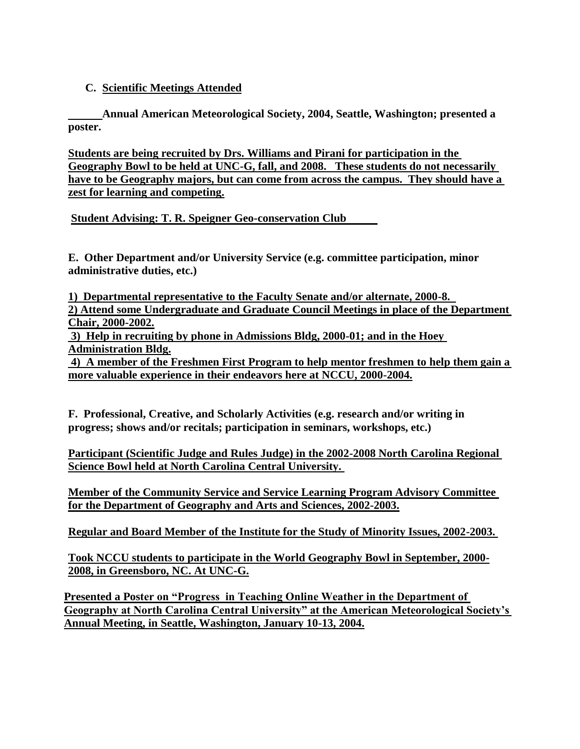# **C. Scientific Meetings Attended**

**Annual American Meteorological Society, 2004, Seattle, Washington; presented a poster.**

**Students are being recruited by Drs. Williams and Pirani for participation in the Geography Bowl to be held at UNC-G, fall, and 2008. These students do not necessarily have to be Geography majors, but can come from across the campus. They should have a zest for learning and competing.**

**Student Advising: T. R. Speigner Geo-conservation Club** 

**E. Other Department and/or University Service (e.g. committee participation, minor administrative duties, etc.)**

**1) Departmental representative to the Faculty Senate and/or alternate, 2000-8. 2) Attend some Undergraduate and Graduate Council Meetings in place of the Department Chair, 2000-2002.**

**3) Help in recruiting by phone in Admissions Bldg, 2000-01; and in the Hoey Administration Bldg.**

**4) A member of the Freshmen First Program to help mentor freshmen to help them gain a more valuable experience in their endeavors here at NCCU, 2000-2004.**

**F. Professional, Creative, and Scholarly Activities (e.g. research and/or writing in progress; shows and/or recitals; participation in seminars, workshops, etc.)**

**Participant (Scientific Judge and Rules Judge) in the 2002-2008 North Carolina Regional Science Bowl held at North Carolina Central University.** 

**Member of the Community Service and Service Learning Program Advisory Committee for the Department of Geography and Arts and Sciences, 2002-2003.**

**Regular and Board Member of the Institute for the Study of Minority Issues, 2002-2003.** 

**Took NCCU students to participate in the World Geography Bowl in September, 2000- 2008, in Greensboro, NC. At UNC-G.**

**Presented a Poster on "Progress in Teaching Online Weather in the Department of Geography at North Carolina Central University" at the American Meteorological Society's Annual Meeting, in Seattle, Washington, January 10-13, 2004.**